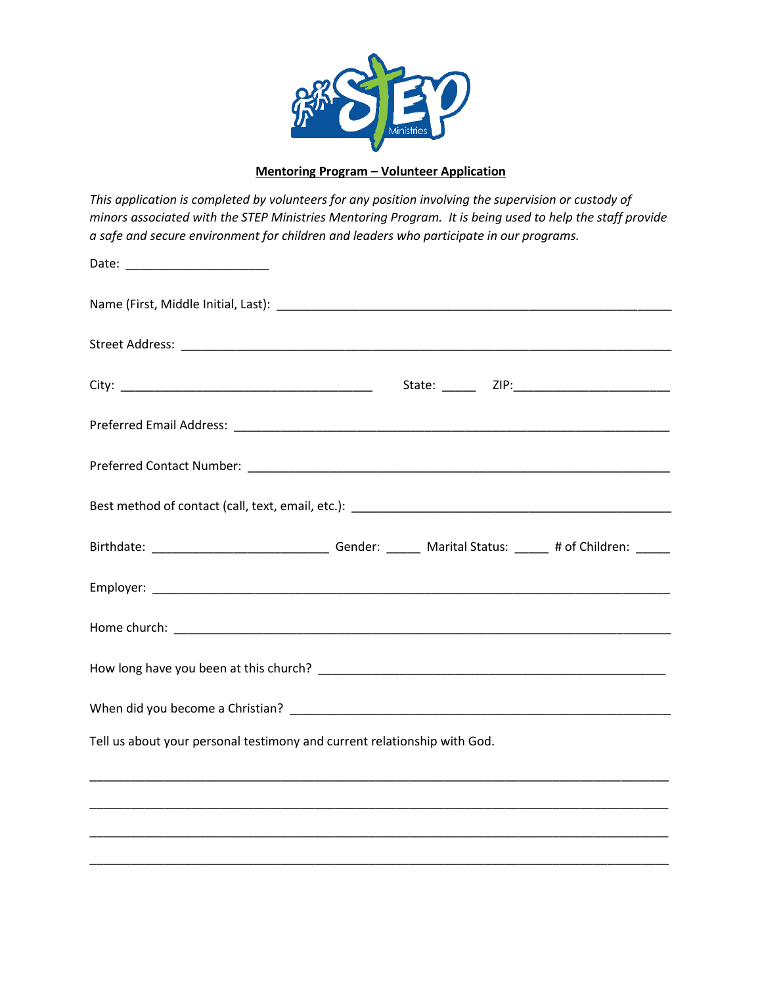

## **Mentoring Program – Volunteer Application**

*This application is completed by volunteers for any position involving the supervision or custody of minors associated with the STEP Ministries Mentoring Program. It is being used to help the staff provide a safe and secure environment for children and leaders who participate in our programs.*

| Date: _________________________                                                                            |  |  |
|------------------------------------------------------------------------------------------------------------|--|--|
|                                                                                                            |  |  |
|                                                                                                            |  |  |
|                                                                                                            |  |  |
|                                                                                                            |  |  |
|                                                                                                            |  |  |
|                                                                                                            |  |  |
| Birthdate: ___________________________________Gender: ________ Marital Status: ______ # of Children: _____ |  |  |
|                                                                                                            |  |  |
|                                                                                                            |  |  |
|                                                                                                            |  |  |
|                                                                                                            |  |  |
| Tell us about your personal testimony and current relationship with God.                                   |  |  |
|                                                                                                            |  |  |
|                                                                                                            |  |  |

\_\_\_\_\_\_\_\_\_\_\_\_\_\_\_\_\_\_\_\_\_\_\_\_\_\_\_\_\_\_\_\_\_\_\_\_\_\_\_\_\_\_\_\_\_\_\_\_\_\_\_\_\_\_\_\_\_\_\_\_\_\_\_\_\_\_\_\_\_\_\_\_\_\_\_\_\_\_\_\_\_\_\_\_\_